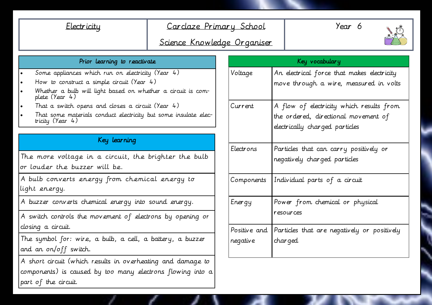## Electricity Carclaze Primary School

Year 6



# Science Knowledge Organiser

|  |  |  | Prior learning to reactivate |
|--|--|--|------------------------------|
|--|--|--|------------------------------|

- Some appliances which run on electricity (Year 4)
- How to construct a simple circuit (Year 4)
- Whether a bulb will light based on whether a circuit is complete (Year 4)
- That a switch opens and closes a circuit (Year 4)
- That some materials conduct electricity but some insulate electricity (Year 4)

### Key learning

The more voltage in a circuit, the brighter the bulb or louder the buzzer will be.

A bulb converts energy from chemical energy to light energy.

A buzzer converts chemical energy into sound energy.

A switch controls the movement of electrons by opening or closing a circuit.

The symbol for: wire, a bulb, a cell, a battery, a buzzer and an on/off switch.

A short circuit (which results in overheating and damage to components) is caused by too many electrons flowing into a part of the circuit.

| Key vocabulary           |                                                         |  |  |
|--------------------------|---------------------------------------------------------|--|--|
| Voltage                  | An electrical force that makes electricity              |  |  |
|                          | move through a wire, measured in volts                  |  |  |
| Current                  | A flow of electricity which results from                |  |  |
|                          | the ordered, directional movement of                    |  |  |
|                          | electrically charged particles                          |  |  |
| Electrons                | Particles that can carry positively or                  |  |  |
|                          | negatively charged particles                            |  |  |
| Components               | Individual parts of a circuit                           |  |  |
| Energy                   | Power from chemical or physical                         |  |  |
|                          | resources                                               |  |  |
| Positive and<br>negative | Particles that are negatively or positively<br>char ged |  |  |
|                          |                                                         |  |  |